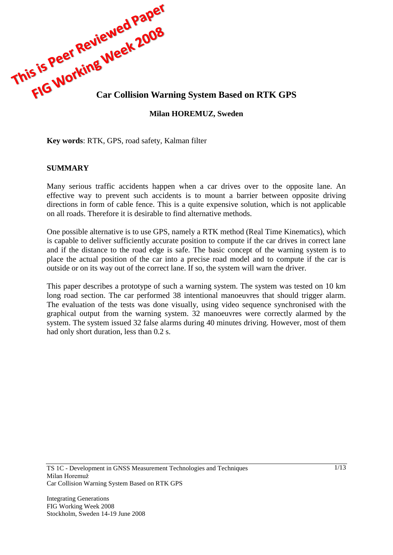

### **Milan HOREMUZ, Sweden**

**Key words**: RTK, GPS, road safety, Kalman filter

### **SUMMARY**

Many serious traffic accidents happen when a car drives over to the opposite lane. An effective way to prevent such accidents is to mount a barrier between opposite driving directions in form of cable fence. This is a quite expensive solution, which is not applicable on all roads. Therefore it is desirable to find alternative methods.

One possible alternative is to use GPS, namely a RTK method (Real Time Kinematics), which is capable to deliver sufficiently accurate position to compute if the car drives in correct lane and if the distance to the road edge is safe. The basic concept of the warning system is to place the actual position of the car into a precise road model and to compute if the car is outside or on its way out of the correct lane. If so, the system will warn the driver.

This paper describes a prototype of such a warning system. The system was tested on 10 km long road section. The car performed 38 intentional manoeuvres that should trigger alarm. The evaluation of the tests was done visually, using video sequence synchronised with the graphical output from the warning system. 32 manoeuvres were correctly alarmed by the system. The system issued 32 false alarms during 40 minutes driving. However, most of them had only short duration, less than 0.2 s.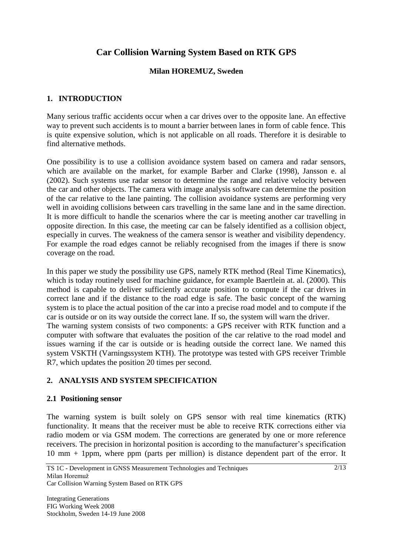# **Car Collision Warning System Based on RTK GPS**

### **Milan HOREMUZ, Sweden**

### **1. INTRODUCTION**

Many serious traffic accidents occur when a car drives over to the opposite lane. An effective way to prevent such accidents is to mount a barrier between lanes in form of cable fence. This is quite expensive solution, which is not applicable on all roads. Therefore it is desirable to find alternative methods.

One possibility is to use a collision avoidance system based on camera and radar sensors, which are available on the market, for example Barber and Clarke (1998), Jansson e. al (2002). Such systems use radar sensor to determine the range and relative velocity between the car and other objects. The camera with image analysis software can determine the position of the car relative to the lane painting. The collision avoidance systems are performing very well in avoiding collisions between cars travelling in the same lane and in the same direction. It is more difficult to handle the scenarios where the car is meeting another car travelling in opposite direction. In this case, the meeting car can be falsely identified as a collision object, especially in curves. The weakness of the camera sensor is weather and visibility dependency. For example the road edges cannot be reliably recognised from the images if there is snow coverage on the road.

In this paper we study the possibility use GPS, namely RTK method (Real Time Kinematics), which is today routinely used for machine guidance, for example Baertlein at. al. (2000). This method is capable to deliver sufficiently accurate position to compute if the car drives in correct lane and if the distance to the road edge is safe. The basic concept of the warning system is to place the actual position of the car into a precise road model and to compute if the car is outside or on its way outside the correct lane. If so, the system will warn the driver. The warning system consists of two components: a GPS receiver with RTK function and a computer with software that evaluates the position of the car relative to the road model and issues warning if the car is outside or is heading outside the correct lane. We named this system VSKTH (Varningssystem KTH). The prototype was tested with GPS receiver Trimble R7, which updates the position 20 times per second.

## **2. ANALYSIS AND SYSTEM SPECIFICATION**

### **2.1 Positioning sensor**

The warning system is built solely on GPS sensor with real time kinematics (RTK) functionality. It means that the receiver must be able to receive RTK corrections either via radio modem or via GSM modem. The corrections are generated by one or more reference receivers. The precision in horizontal position is according to the manufacturer's specification 10 mm + 1ppm, where ppm (parts per million) is distance dependent part of the error. It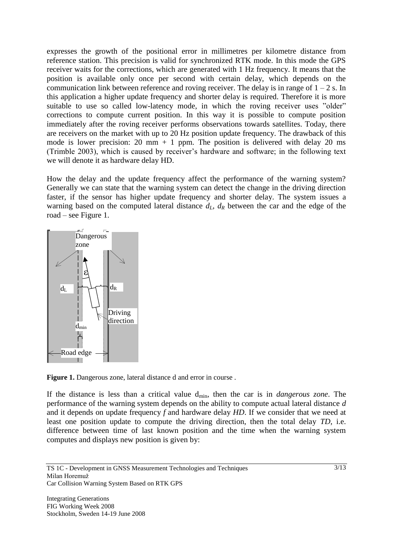expresses the growth of the positional error in millimetres per kilometre distance from reference station. This precision is valid for synchronized RTK mode. In this mode the GPS receiver waits for the corrections, which are generated with 1 Hz frequency. It means that the position is available only once per second with certain delay, which depends on the communication link between reference and roving receiver. The delay is in range of  $1 - 2$  s. In this application a higher update frequency and shorter delay is required. Therefore it is more suitable to use so called low-latency mode, in which the roving receiver uses "older" corrections to compute current position. In this way it is possible to compute position immediately after the roving receiver performs observations towards satellites. Today, there are receivers on the market with up to 20 Hz position update frequency. The drawback of this mode is lower precision: 20 mm  $+$  1 ppm. The position is delivered with delay 20 ms (Trimble 2003), which is caused by receiver's hardware and software; in the following text we will denote it as hardware delay HD.

How the delay and the update frequency affect the performance of the warning system? Generally we can state that the warning system can detect the change in the driving direction faster, if the sensor has higher update frequency and shorter delay. The system issues a warning based on the computed lateral distance  $d<sub>L</sub>$ ,  $d<sub>R</sub>$  between the car and the edge of the road – see Figure 1.



Figure 1. Dangerous zone, lateral distance d and error in course.

If the distance is less than a critical value dmin, then the car is in *dangerous zone*. The performance of the warning system depends on the ability to compute actual lateral distance *d*  and it depends on update frequency *f* and hardware delay *HD*. If we consider that we need at least one position update to compute the driving direction, then the total delay *TD*, i.e. difference between time of last known position and the time when the warning system computes and displays new position is given by: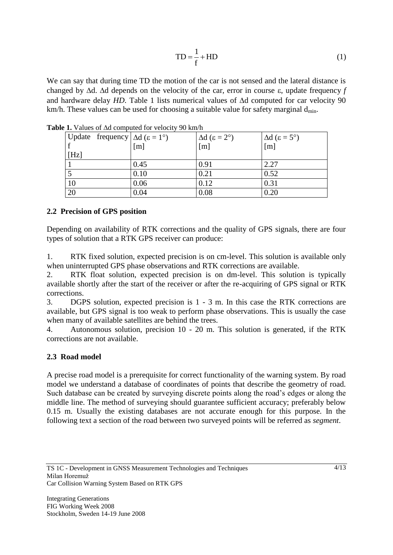$$
TD = \frac{1}{f} + HD
$$
 (1)

We can say that during time TD the motion of the car is not sensed and the lateral distance is changed by  $\Delta d$ .  $\Delta d$  depends on the velocity of the car, error in course  $\varepsilon$ , update frequency f and hardware delay  $HD$ . Table 1 lists numerical values of  $\Delta d$  computed for car velocity 90 km/h. These values can be used for choosing a suitable value for safety marginal  $d_{\text{min}}$ .

| Update frequency $\Delta d$ ( $\varepsilon = 1^{\circ}$ ) |                   | $\Delta d$ (ε = 2°) | $\Delta d$ ( $\epsilon = 5^{\circ}$ ) |
|-----------------------------------------------------------|-------------------|---------------------|---------------------------------------|
|                                                           | $\lceil m \rceil$ | [m]                 | [m]                                   |
| [Hz]                                                      |                   |                     |                                       |
|                                                           | 0.45              | 0.91                | 2.27                                  |
|                                                           | 0.10              | 0.21                | 0.52                                  |
| 10                                                        | 0.06              | 0.12                | 0.31                                  |
| 20                                                        | 0.04              | 0.08                | 0.20                                  |

**Table 1.** Values of Ad computed for velocity 90 km/h

### **2.2 Precision of GPS position**

Depending on availability of RTK corrections and the quality of GPS signals, there are four types of solution that a RTK GPS receiver can produce:

1. RTK fixed solution, expected precision is on cm-level. This solution is available only when uninterrupted GPS phase observations and RTK corrections are available.

2. RTK float solution, expected precision is on dm-level. This solution is typically available shortly after the start of the receiver or after the re-acquiring of GPS signal or RTK corrections.

3. DGPS solution, expected precision is 1 - 3 m. In this case the RTK corrections are available, but GPS signal is too weak to perform phase observations. This is usually the case when many of available satellites are behind the trees.

4. Autonomous solution, precision 10 - 20 m. This solution is generated, if the RTK corrections are not available.

### **2.3 Road model**

A precise road model is a prerequisite for correct functionality of the warning system. By road model we understand a database of coordinates of points that describe the geometry of road. Such database can be created by surveying discrete points along the road's edges or along the middle line. The method of surveying should guarantee sufficient accuracy; preferably below 0.15 m. Usually the existing databases are not accurate enough for this purpose. In the following text a section of the road between two surveyed points will be referred as *segment*.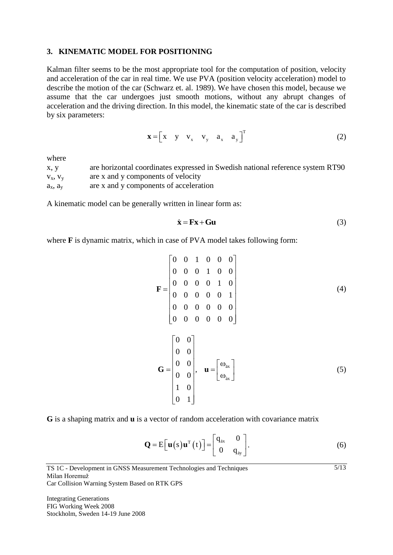### **3. KINEMATIC MODEL FOR POSITIONING**

Kalman filter seems to be the most appropriate tool for the computation of position, velocity and acceleration of the car in real time. We use PVA (position velocity acceleration) model to describe the motion of the car (Schwarz et. al. 1989). We have chosen this model, because we assume that the car undergoes just smooth motions, without any abrupt changes of acceleration and the driving direction. In this model, the kinematic state of the car is described by six parameters:

$$
\mathbf{x} = \begin{bmatrix} x & y & v_x & v_y & a_x & a_y \end{bmatrix}^T \tag{2}
$$

where

x, y are horizontal coordinates expressed in Swedish national reference system RT90  $v_x$ ,  $v_y$  are x and y components of velocity  $a_x$ ,  $a_y$  are x and y components of acceleration

A kinematic model can be generally written in linear form as:

$$
\dot{\mathbf{x}} = \mathbf{F}\mathbf{x} + \mathbf{G}\mathbf{u} \tag{3}
$$

where **F** is dynamic matrix, which in case of PVA model takes following form:

$$
\mathbf{F} = \begin{bmatrix} 0 & 0 & 1 & 0 & 0 & 0 \\ 0 & 0 & 0 & 1 & 0 & 0 \\ 0 & 0 & 0 & 0 & 1 & 0 \\ 0 & 0 & 0 & 0 & 0 & 1 \\ 0 & 0 & 0 & 0 & 0 & 0 \\ 0 & 0 & 0 & 0 & 0 & 0 \end{bmatrix}
$$
(4)  

$$
\mathbf{G} = \begin{bmatrix} 0 & 0 \\ 0 & 0 \\ 0 & 0 \\ 0 & 0 \\ 1 & 0 \\ 0 & 1 \end{bmatrix}, \quad \mathbf{u} = \begin{bmatrix} \omega_{\text{ax}} \\ \omega_{\text{ax}} \end{bmatrix}
$$
(5)

**G** is a shaping matrix and **u** is a vector of random acceleration with covariance matrix

$$
\mathbf{Q} = \mathbf{E} \big[ \mathbf{u} \big( s \big) \mathbf{u}^{T} \big( t \big) \big] = \begin{bmatrix} q_{ax} & 0 \\ 0 & q_{ay} \end{bmatrix} . \tag{6}
$$

 $\frac{5}{13}$ 

TS 1C - Development in GNSS Measurement Technologies and Techniques Milan Horemuž Car Collision Warning System Based on RTK GPS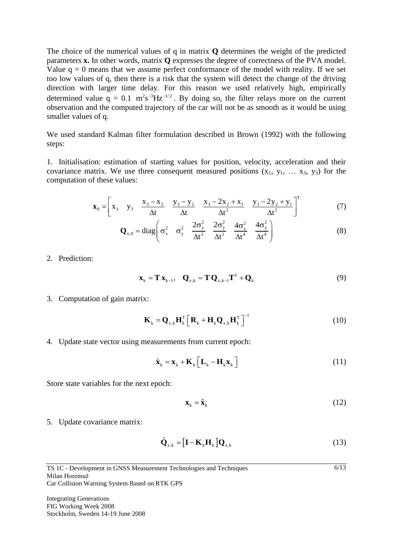The choice of the numerical values of q in matrix **Q** determines the weight of the predicted parameters **x.** In other words, matrix **Q** expresses the degree of correctness of the PVA model. Value  $q = 0$  means that we assume perfect conformance of the model with reality. If we set too low values of q, then there is a risk that the system will detect the change of the driving direction with larger time delay. For this reason we used relatively high, empirically determined value  $q = 0.1 \text{ m}^2 \text{s}^{-3} \text{Hz}^{-1/2}$ . By doing so, the filter relays more on the current observation and the computed trajectory of the car will not be as smooth as it would be using smaller values of q.

We used standard Kalman filter formulation described in Brown (1992) with the following steps:

1. Initialisation: estimation of starting values for position, velocity, acceleration and their covariance matrix. We use three consequent measured positions  $(x_1, y_1, \ldots, x_3, y_3)$  for the computation of these values:

$$
\mathbf{x}_0 = \begin{bmatrix} x_3 & y_3 & \frac{x_3 - x_2}{\Delta t} & \frac{y_3 - y_2}{\Delta t} & \frac{x_3 - 2x_2 + x_1}{\Delta t^2} & \frac{y_3 - 2y_2 + y_1}{\Delta t^2} \end{bmatrix}^T
$$
(7)

$$
\mathbf{Q}_{x,0} = \text{diag}\left(\sigma_x^2 \quad \sigma_y^2 \quad \frac{2\sigma_y^2}{\Delta t^2} \quad \frac{2\sigma_y^2}{\Delta t^2} \quad \frac{4\sigma_x^2}{\Delta t^4} \quad \frac{4\sigma_y^2}{\Delta t^4}\right) \tag{8}
$$

2. Prediction:

$$
\mathbf{x}_{k} = \mathbf{T} \mathbf{x}_{k-1}, \quad \mathbf{Q}_{x,k} = \mathbf{T} \mathbf{Q}_{x,k-1} \mathbf{T}^{T} + \mathbf{Q}_{k}
$$
(9)

3. Computation of gain matrix:

$$
\mathbf{K}_{k} = \mathbf{Q}_{x,k} \mathbf{H}_{k}^{T} \left[ \mathbf{R}_{k} + \mathbf{H}_{k} \mathbf{Q}_{x,k} \mathbf{H}_{k}^{T} \right]^{-1}
$$
(10)

4. Update state vector using measurements from current epoch:

$$
\hat{\mathbf{x}}_{k} = \mathbf{x}_{k} + \mathbf{K}_{k} \left[ \mathbf{L}_{k} - \mathbf{H}_{k} \mathbf{x}_{k} \right]
$$
 (11)

Store state variables for the next epoch:

$$
\mathbf{x}_{k} = \hat{\mathbf{x}}_{k} \tag{12}
$$

 $6/13$ 

5. Update covariance matrix:

$$
\hat{\mathbf{Q}}_{x,k} = [\mathbf{I} - \mathbf{K}_k \mathbf{H}_k] \mathbf{Q}_{x,k}
$$
\n(13)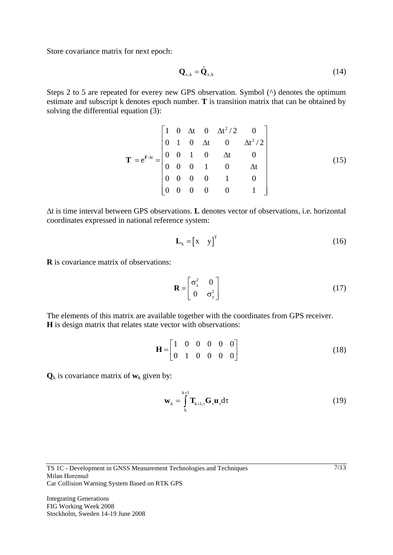Store covariance matrix for next epoch:

$$
\mathbf{Q}_{x,k} = \hat{\mathbf{Q}}_{x,k} \tag{14}
$$

Steps 2 to 5 are repeated for everey new GPS observation. Symbol (^) denotes the optimum estimate and subscript k denotes epoch number. **T** is transition matrix that can be obtained by solving the differential equation (3):

$$
\mathbf{T} = e^{\mathbf{F} \cdot \Delta t} = \begin{bmatrix} 1 & 0 & \Delta t & 0 & \Delta t^2 / 2 & 0 \\ 0 & 1 & 0 & \Delta t & 0 & \Delta t^2 / 2 \\ 0 & 0 & 1 & 0 & \Delta t & 0 \\ 0 & 0 & 0 & 1 & 0 & \Delta t \\ 0 & 0 & 0 & 0 & 1 & 0 \\ 0 & 0 & 0 & 0 & 0 & 1 \end{bmatrix}
$$
(15)

t is time interval between GPS observations. **L** denotes vector of observations, i.e. horizontal coordinates expressed in national reference system:

$$
\mathbf{L}_{k} = \begin{bmatrix} x & y \end{bmatrix}^{\mathrm{T}} \tag{16}
$$

**R** is covariance matrix of observations:

$$
\mathbf{R} = \begin{bmatrix} \sigma_x^2 & 0 \\ 0 & \sigma_y^2 \end{bmatrix} \tag{17}
$$

The elements of this matrix are available together with the coordinates from GPS receiver. **H** is design matrix that relates state vector with observations:

$$
\mathbf{H} = \begin{bmatrix} 1 & 0 & 0 & 0 & 0 & 0 \\ 0 & 1 & 0 & 0 & 0 & 0 \end{bmatrix}
$$
 (18)

 $\mathbf{Q}_k$  is covariance matrix of  $\mathbf{w}_k$  given by:

$$
\mathbf{w}_{k} = \int_{k}^{k+1} \mathbf{T}_{k+1,\tau} \mathbf{G}_{\tau} \mathbf{u}_{\tau} d\tau
$$
 (19)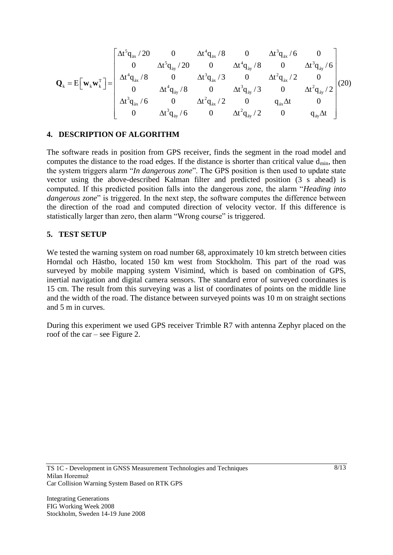$$
\mathbf{Q}_{k} = E\Big[\mathbf{w}_{k}\mathbf{w}_{k}^{\mathrm{T}}\Big] = \left[ \begin{array}{cccccc} \Delta t^{5}q_{i x}^{-}/20 & 0 & \Delta t^{4}q_{i x}^{-}/8 & 0 & \Delta t^{3}q_{i x}^{-}/6 & 0 \\ 0 & \Delta t^{5}q_{i y}^{-}/20 & 0 & \Delta t^{4}q_{i y}^{-}/8 & 0 & \Delta t^{3}q_{i y}^{-}/6 \\ \Delta t^{4}q_{i x}^{-}/8 & 0 & \Delta t^{3}q_{i x}^{-}/3 & 0 & \Delta t^{2}q_{i x}^{-}/2 & 0 \\ 0 & \Delta t^{4}q_{i y}^{-}/8 & 0 & \Delta t^{3}q_{i y}^{-}/3 & 0 & \Delta t^{2}q_{i y}^{-}/2 \\ \Delta t^{3}q_{i x}^{-}/6 & 0 & \Delta t^{2}q_{i x}^{-}/2 & 0 & q_{i x} \Delta t & 0 \\ 0 & \Delta t^{3}q_{i y}^{-}/6 & 0 & \Delta t^{2}q_{i y}^{-}/2 & 0 & q_{i y} \Delta t \end{array} \right] (20)
$$

#### **4. DESCRIPTION OF ALGORITHM**

The software reads in position from GPS receiver, finds the segment in the road model and computes the distance to the road edges. If the distance is shorter than critical value  $d_{min}$ , then the system triggers alarm "*In dangerous zone*". The GPS position is then used to update state vector using the above-described Kalman filter and predicted position (3 s ahead) is computed. If this predicted position falls into the dangerous zone, the alarm "*Heading into dangerous zone*" is triggered. In the next step, the software computes the difference between the direction of the road and computed direction of velocity vector. If this difference is statistically larger than zero, then alarm "Wrong course" is triggered.

#### **5. TEST SETUP**

We tested the warning system on road number 68, approximately 10 km stretch between cities Horndal och Hästbo, located 150 km west from Stockholm. This part of the road was surveyed by mobile mapping system Visimind, which is based on combination of GPS, inertial navigation and digital camera sensors. The standard error of surveyed coordinates is 15 cm. The result from this surveying was a list of coordinates of points on the middle line and the width of the road. The distance between surveyed points was 10 m on straight sections and 5 m in curves.

During this experiment we used GPS receiver Trimble R7 with antenna Zephyr placed on the roof of the car – see Figure 2.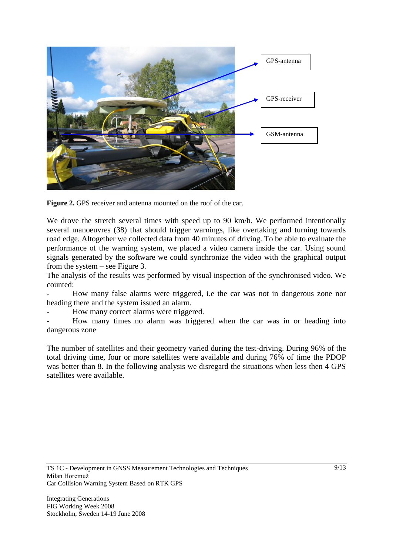

**Figure 2.** GPS receiver and antenna mounted on the roof of the car.

We drove the stretch several times with speed up to 90 km/h. We performed intentionally several manoeuvres (38) that should trigger warnings, like overtaking and turning towards road edge. Altogether we collected data from 40 minutes of driving. To be able to evaluate the performance of the warning system, we placed a video camera inside the car. Using sound signals generated by the software we could synchronize the video with the graphical output from the system – see Figure 3.

The analysis of the results was performed by visual inspection of the synchronised video. We counted:

- How many false alarms were triggered, i.e the car was not in dangerous zone nor heading there and the system issued an alarm.

How many correct alarms were triggered.

How many times no alarm was triggered when the car was in or heading into dangerous zone

The number of satellites and their geometry varied during the test-driving. During 96% of the total driving time, four or more satellites were available and during 76% of time the PDOP was better than 8. In the following analysis we disregard the situations when less then 4 GPS satellites were available.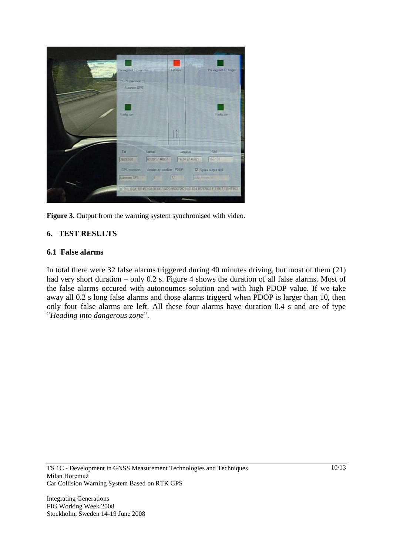

Figure 3. Output from the warning system synchronised with video.

### **6. TEST RESULTS**

#### **6.1 False alarms**

In total there were 32 false alarms triggered during 40 minutes driving, but most of them (21) had very short duration – only 0.2 s. Figure 4 shows the duration of all false alarms. Most of the false alarms occured with autonoumos solution and with high PDOP value. If we take away all 0.2 s long false alarms and those alarms triggerd when PDOP is larger than 10, then only four false alarms are left. All these four alarms have duration 0.4 s and are of type "*Heading into dangerous zone*".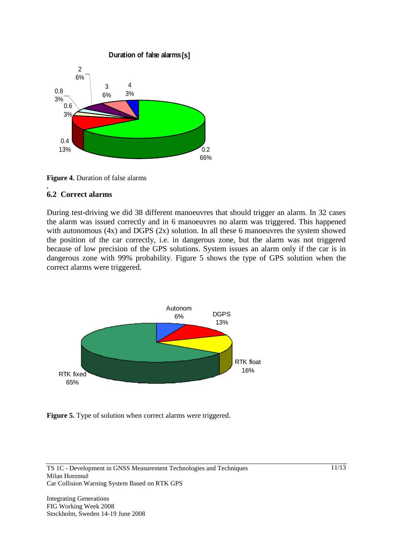

**Figure 4.** Duration of false alarms

#### **. 6.2 Correct alarms**

During test-driving we did 38 different manoeuvres that should trigger an alarm. In 32 cases the alarm was issued correctly and in 6 manoeuvres no alarm was triggered. This happened with autonomous (4x) and DGPS (2x) solution. In all these 6 manoeuvres the system showed the position of the car correctly, i.e. in dangerous zone, but the alarm was not triggered because of low precision of the GPS solutions. System issues an alarm only if the car is in dangerous zone with 99% probability. Figure 5 shows the type of GPS solution when the correct alarms were triggered.



**Figure 5.** Type of solution when correct alarms were triggered.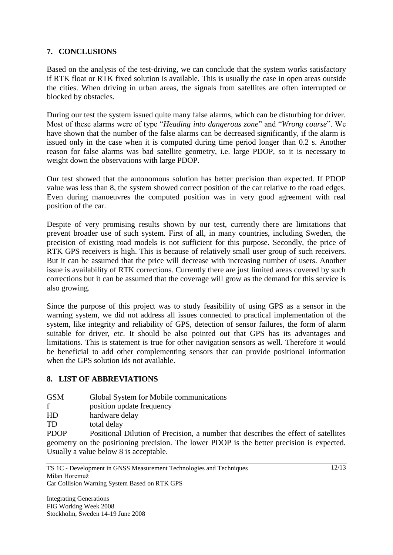### **7. CONCLUSIONS**

Based on the analysis of the test-driving, we can conclude that the system works satisfactory if RTK float or RTK fixed solution is available. This is usually the case in open areas outside the cities. When driving in urban areas, the signals from satellites are often interrupted or blocked by obstacles.

During our test the system issued quite many false alarms, which can be disturbing for driver. Most of these alarms were of type "*Heading into dangerous zone*" and "*Wrong course*". We have shown that the number of the false alarms can be decreased significantly, if the alarm is issued only in the case when it is computed during time period longer than 0.2 s. Another reason for false alarms was bad satellite geometry, i.e. large PDOP, so it is necessary to weight down the observations with large PDOP.

Our test showed that the autonomous solution has better precision than expected. If PDOP value was less than 8, the system showed correct position of the car relative to the road edges. Even during manoeuvres the computed position was in very good agreement with real position of the car.

Despite of very promising results shown by our test, currently there are limitations that prevent broader use of such system. First of all, in many countries, including Sweden, the precision of existing road models is not sufficient for this purpose. Secondly, the price of RTK GPS receivers is high. This is because of relatively small user group of such receivers. But it can be assumed that the price will decrease with increasing number of users. Another issue is availability of RTK corrections. Currently there are just limited areas covered by such corrections but it can be assumed that the coverage will grow as the demand for this service is also growing.

Since the purpose of this project was to study feasibility of using GPS as a sensor in the warning system, we did not address all issues connected to practical implementation of the system, like integrity and reliability of GPS, detection of sensor failures, the form of alarm suitable for driver, etc. It should be also pointed out that GPS has its advantages and limitations. This is statement is true for other navigation sensors as well. Therefore it would be beneficial to add other complementing sensors that can provide positional information when the GPS solution ids not available.

### **8. LIST OF ABBREVIATIONS**

| <b>GSM</b> | Global System for Mobile communications |
|------------|-----------------------------------------|
|------------|-----------------------------------------|

- f position update frequency
- HD hardware delay
- TD total delay

PDOP Positional Dilution of Precision, a number that describes the effect of satellites geometry on the positioning precision. The lower PDOP is the better precision is expected. Usually a value below 8 is acceptable.